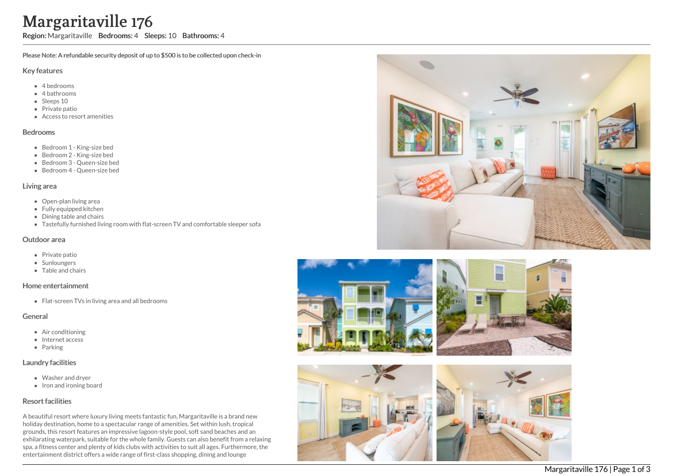# Margaritaville 176

Region: Margaritaville Bedrooms: 4 Sleeps: 10 Bathrooms: 4

Please Note: A refundable security deposit of up to \$500 is to be collected upon check-in

#### Key features

- 4 bedrooms
- 4 bathrooms
- Sleeps 10
- Private patio
- Access to resort amenities

#### Bedrooms

- Bedroom 1 King-size bed
- Bedroom 2 King-size bed
- Bedroom 3 Queen-size bed
- Bedroom 4 Queen-size bed

### Living area

- Open-plan living area
- Fully equipped kitchen
- Dining table and chairs
- Tastefully furnished living room with flat-screen TV and comfortable sleeper sofa

#### Outdoor area

- Private patio
- Sunloungers
- Table and chairs

#### Home entertainment

• Flat-screen TVs in living area and all bedrooms

#### General

- Air conditioning
- Internet access
- Parking

## Laundry facilities

- Washer and dryer
- Iron and ironing board

# Resort facilities

A beautiful resort where luxury living meets fantastic fun, Margaritaville is a brand new holiday destination, home to a spectacular range of amenities. Set within lush, tropical grounds, this resort features an impressive lagoon-style pool, soft sand beaches and an exhilarating waterpark, suitable for the whole family. Guests can also benefit from a relaxing spa, a fitness center and plenty of kids clubs with activities to suit all ages. Furthermore, the entertainment district offers a wide range of first-class shopping, dining and lounge





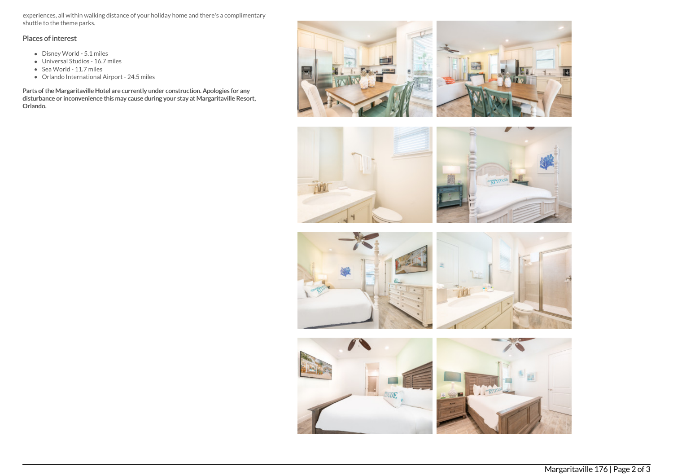experiences, all within walking distance of your holiday home and there's a complimentary shuttle to the theme parks.

# Places of interest

- Disney World 5.1 miles
- Universal Studios 16.7 miles
- Sea World 11.7 miles
- Orlando International Airport 24.5 miles

Parts of the Margaritaville Hotel are currently under construction. Apologies for any disturbance or inconvenience this may cause during your stay at Margaritaville Resort, Orlando.